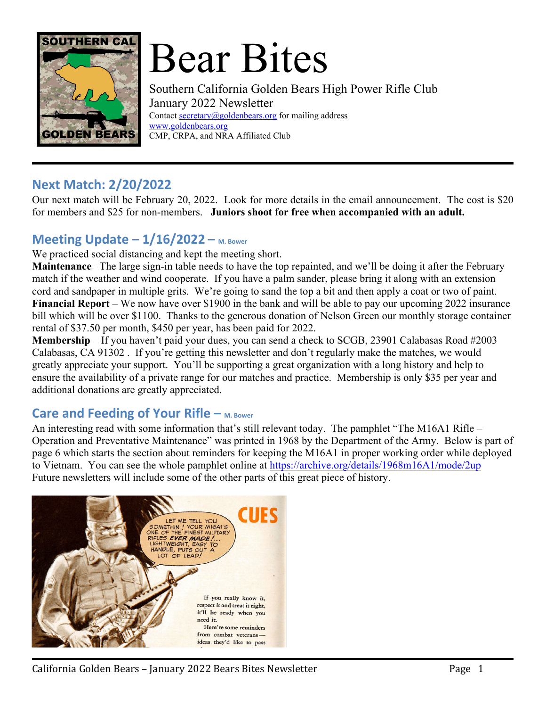

# Bear Bites

Southern California Golden Bears High Power Rifle Club January 2022 Newsletter Contact secretary@goldenbears.org for mailing address www.goldenbears.org CMP, CRPA, and NRA Affiliated Club

#### **Next Match: 2/20/2022**

Our next match will be February 20, 2022. Look for more details in the email announcement. The cost is \$20 for members and \$25 for non-members. **Juniors shoot for free when accompanied with an adult.**

## **Meeting Update – 1/16/2022 – M. Bower**

We practiced social distancing and kept the meeting short.

**Maintenance**– The large sign-in table needs to have the top repainted, and we'll be doing it after the February match if the weather and wind cooperate. If you have a palm sander, please bring it along with an extension cord and sandpaper in multiple grits. We're going to sand the top a bit and then apply a coat or two of paint. **Financial Report** – We now have over \$1900 in the bank and will be able to pay our upcoming 2022 insurance bill which will be over \$1100. Thanks to the generous donation of Nelson Green our monthly storage container rental of \$37.50 per month, \$450 per year, has been paid for 2022.

**Membership** – If you haven't paid your dues, you can send a check to SCGB, 23901 Calabasas Road #2003 Calabasas, CA 91302 . If you're getting this newsletter and don't regularly make the matches, we would greatly appreciate your support. You'll be supporting a great organization with a long history and help to ensure the availability of a private range for our matches and practice. Membership is only \$35 per year and additional donations are greatly appreciated.

#### **Care and Feeding of Your Rifle – M. Bower**

An interesting read with some information that's still relevant today. The pamphlet "The M16A1 Rifle – Operation and Preventative Maintenance" was printed in 1968 by the Department of the Army. Below is part of page 6 which starts the section about reminders for keeping the M16A1 in proper working order while deployed to Vietnam. You can see the whole pamphlet online at https://archive.org/details/1968m16A1/mode/2up Future newsletters will include some of the other parts of this great piece of history.

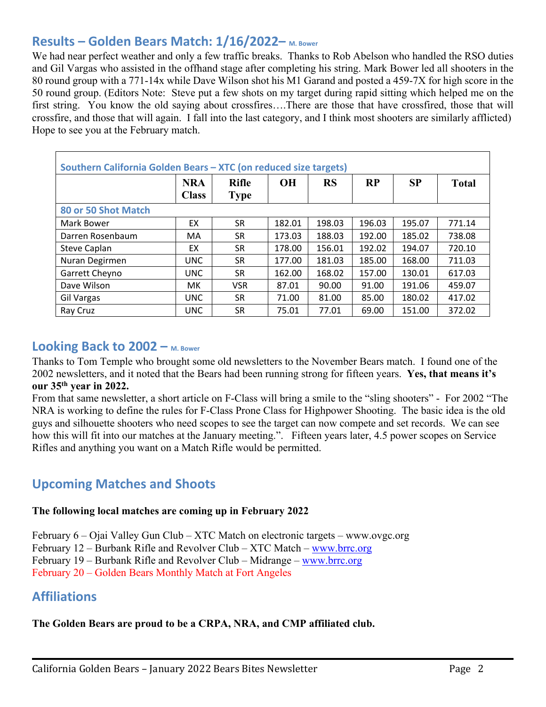## **Results – Golden Bears Match: 1/16/2022– M. Bower**

We had near perfect weather and only a few traffic breaks. Thanks to Rob Abelson who handled the RSO duties and Gil Vargas who assisted in the offhand stage after completing his string. Mark Bower led all shooters in the 80 round group with a 771-14x while Dave Wilson shot his M1 Garand and posted a 459-7X for high score in the 50 round group. (Editors Note: Steve put a few shots on my target during rapid sitting which helped me on the first string. You know the old saying about crossfires….There are those that have crossfired, those that will crossfire, and those that will again. I fall into the last category, and I think most shooters are similarly afflicted) Hope to see you at the February match.

| Southern California Golden Bears - XTC (on reduced size targets) |                            |                             |           |           |        |           |              |
|------------------------------------------------------------------|----------------------------|-----------------------------|-----------|-----------|--------|-----------|--------------|
|                                                                  | <b>NRA</b><br><b>Class</b> | <b>Rifle</b><br><b>Type</b> | <b>OH</b> | <b>RS</b> | RP     | <b>SP</b> | <b>Total</b> |
| 80 or 50 Shot Match                                              |                            |                             |           |           |        |           |              |
| Mark Bower                                                       | EX                         | <b>SR</b>                   | 182.01    | 198.03    | 196.03 | 195.07    | 771.14       |
| Darren Rosenbaum                                                 | MA                         | SR                          | 173.03    | 188.03    | 192.00 | 185.02    | 738.08       |
| <b>Steve Caplan</b>                                              | EX                         | SR                          | 178.00    | 156.01    | 192.02 | 194.07    | 720.10       |
| Nuran Degirmen                                                   | <b>UNC</b>                 | SR                          | 177.00    | 181.03    | 185.00 | 168.00    | 711.03       |
| Garrett Cheyno                                                   | <b>UNC</b>                 | SR                          | 162.00    | 168.02    | 157.00 | 130.01    | 617.03       |
| Dave Wilson                                                      | MK.                        | <b>VSR</b>                  | 87.01     | 90.00     | 91.00  | 191.06    | 459.07       |
| Gil Vargas                                                       | <b>UNC</b>                 | SR                          | 71.00     | 81.00     | 85.00  | 180.02    | 417.02       |
| Ray Cruz                                                         | <b>UNC</b>                 | SR                          | 75.01     | 77.01     | 69.00  | 151.00    | 372.02       |

#### **Looking Back to 2002 – M. Bower**

Thanks to Tom Temple who brought some old newsletters to the November Bears match. I found one of the 2002 newsletters, and it noted that the Bears had been running strong for fifteen years. **Yes, that means it's our 35th year in 2022.** 

From that same newsletter, a short article on F-Class will bring a smile to the "sling shooters" - For 2002 "The NRA is working to define the rules for F-Class Prone Class for Highpower Shooting. The basic idea is the old guys and silhouette shooters who need scopes to see the target can now compete and set records. We can see how this will fit into our matches at the January meeting.". Fifteen years later, 4.5 power scopes on Service Rifles and anything you want on a Match Rifle would be permitted.

#### **Upcoming Matches and Shoots**

#### **The following local matches are coming up in February 2022**

February 6 – Ojai Valley Gun Club – XTC Match on electronic targets – www.ovgc.org

February 12 – Burbank Rifle and Revolver Club – XTC Match – www.brrc.org

February 19 – Burbank Rifle and Revolver Club – Midrange – www.brrc.org

February 20 – Golden Bears Monthly Match at Fort Angeles

#### **Affiliations**

#### **The Golden Bears are proud to be a CRPA, NRA, and CMP affiliated club.**